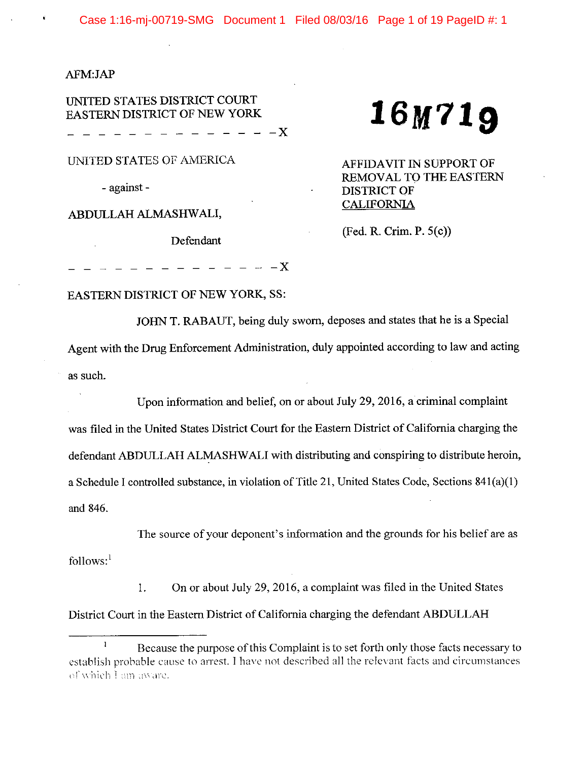### AFM:JAP

UNITED STATES DISTRICT COURT EASTERN DISTRICT OF NEW YORK

 $- - - - - -X$ 

UNITED STATES OF AMERICA

- against -

ABDULLAH ALMASHWALI,

Defendant

# 16M719

AFFIDAVIT IN SUPPORT OF REMOVAL TO THE EASTERN **DISTRICT OF CALIFORNIA** 

 $(Fed, R. Crim, P. 5(c))$ 

 $- - - - - -X$ 

#### **EASTERN DISTRICT OF NEW YORK, SS:**

JOHN T. RABAUT, being duly sworn, deposes and states that he is a Special

Agent with the Drug Enforcement Administration, duly appointed according to law and acting as such.

Upon information and belief, on or about July 29, 2016, a criminal complaint was filed in the United States District Court for the Eastern District of California charging the defendant ABDULLAH ALMASHWALI with distributing and conspiring to distribute heroin, a Schedule I controlled substance, in violation of Title 21, United States Code, Sections 841(a)(1) and 846.

The source of your deponent's information and the grounds for his belief are as follows: $<sup>1</sup>$ </sup>

On or about July 29, 2016, a complaint was filed in the United States 1. District Court in the Eastern District of California charging the defendant ABDULLAH

 $\mathbf{I}$ Because the purpose of this Complaint is to set forth only those facts necessary to establish probable cause to arrest. I have not described all the relevant facts and circumstances of which I am aware.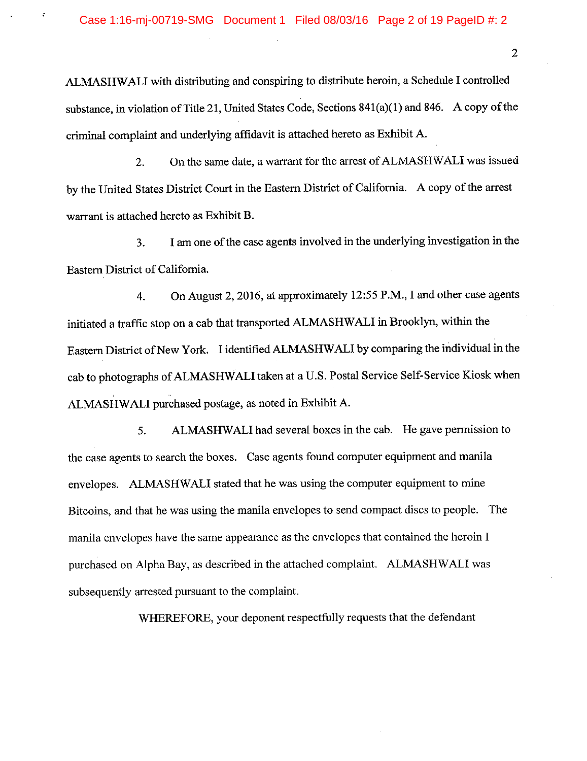ALMASHWALI with distributing and conspiring to distribute heroin, a Schedule I controlled substance, in violation of Title 21, United States Code, Sections 841(a)(1) and 846. A copy of the criminal complaint and underlying affidavit is attached hereto as Exhibit A.

On the same date, a warrant for the arrest of ALMASHWALI was issued  $2.$ by the United States District Court in the Eastern District of California. A copy of the arrest warrant is attached hereto as Exhibit B.

I am one of the case agents involved in the underlying investigation in the 3. Eastern District of California.

On August 2, 2016, at approximately 12:55 P.M., I and other case agents  $4.$ initiated a traffic stop on a cab that transported ALMASHWALI in Brooklyn, within the Eastern District of New York. I identified ALMASHWALI by comparing the individual in the cab to photographs of ALMASHWALI taken at a U.S. Postal Service Self-Service Kiosk when ALMASHWALI purchased postage, as noted in Exhibit A.

ALMASHWALI had several boxes in the cab. He gave permission to 5. the case agents to search the boxes. Case agents found computer equipment and manila envelopes. ALMASHWALI stated that he was using the computer equipment to mine Bitcoins, and that he was using the manila envelopes to send compact discs to people. The manila envelopes have the same appearance as the envelopes that contained the heroin I purchased on Alpha Bay, as described in the attached complaint. ALMASHWALI was subsequently arrested pursuant to the complaint.

WHEREFORE, your deponent respectfully requests that the defendant

 $\overline{2}$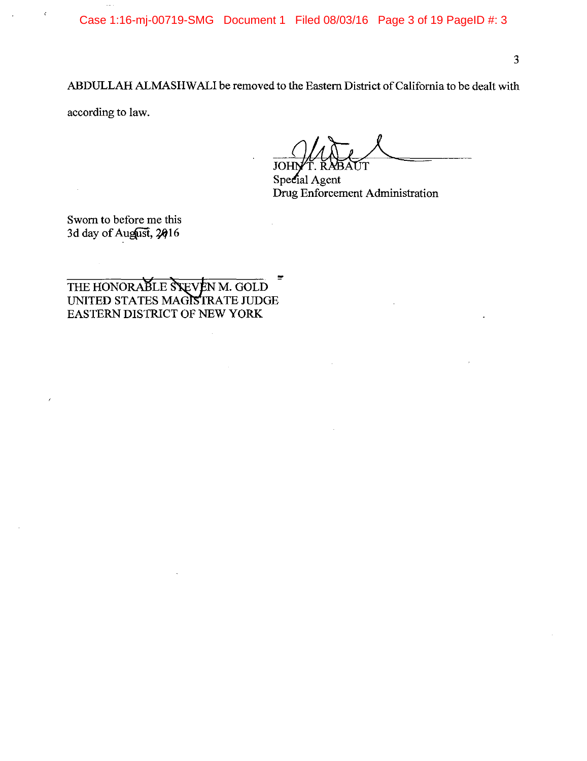Case 1:16-mj-00719-SMG Document 1 Filed 08/03/16 Page 3 of 19 PageID #: 3

 $\overline{3}$ 

ABDULLAH ALMASHWALI be removed to the Eastern District of California to be dealt with

according to law.

**JOH** UT

Special Agent Drug Enforcement Administration

Sworn to before me this 3d day of August, 2016

THE HONORABLE STEVEN M. GOLD UNITED STATES MAGISTRATE JUDGE EASTERN DISTRICT OF NEW YORK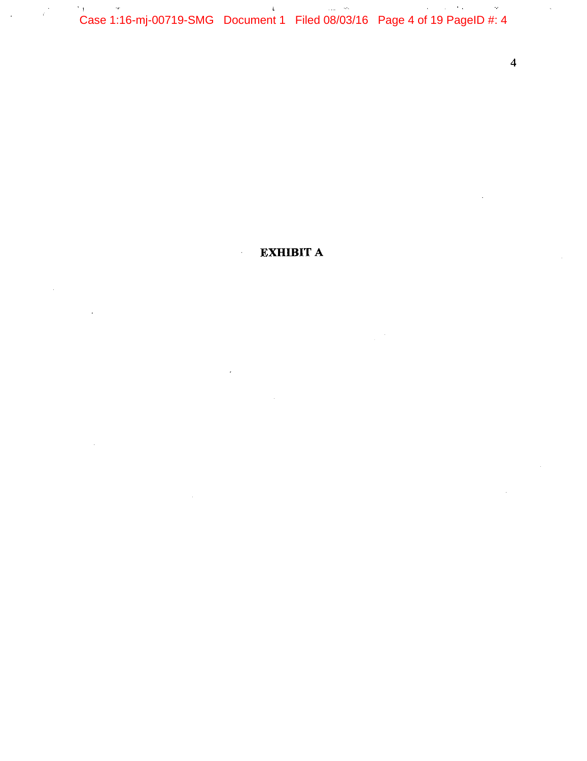Case 1:16-mj-00719-SMG Document 1 Filed 08/03/16 Page 4 of 19 PageID #: 4  $\gamma_{\rm 1}$ 

 $\cdot$ 

 $\overline{\mathbf{4}}$ 

**EXHIBIT A**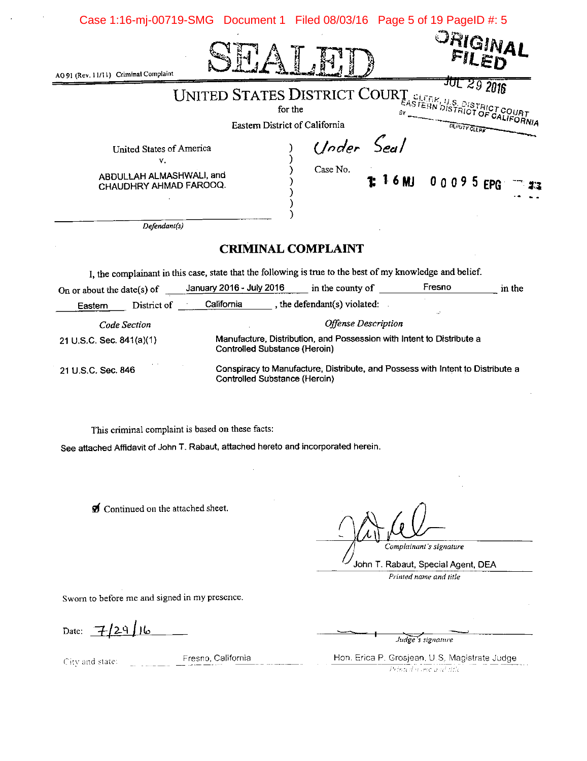|                                                            | Case 1:16-mj-00719-SMG Document 1 Filed 08/03/16 Page 5 of 19 PageID #: 5                                                                                  |
|------------------------------------------------------------|------------------------------------------------------------------------------------------------------------------------------------------------------------|
| AO 91 (Rev. 11/11) Criminal Complaint                      | <sup>ORIGINAL</sup>                                                                                                                                        |
|                                                            |                                                                                                                                                            |
|                                                            | UNITED STATES DISTRICT COURT SLEERN DISTRICT COURT FOR THE COURT FOR THE COURT FOR THE CALIFORNIA<br>Eastern District of California<br><b>DLPUTY CLEAR</b> |
| United States of America<br>v.<br>ABDULLAH ALMASHWALI, and | Under Seal<br>Case No.                                                                                                                                     |
| CHAUDHRY AHMAD FAROOQ.                                     | 1:16MJ 00095EPG                                                                                                                                            |
| Defendant(s)                                               |                                                                                                                                                            |
|                                                            | <b>CRIMINAL COMPLAINT</b>                                                                                                                                  |
|                                                            | I, the complainant in this case, state that the following is true to the best of my knowledge and belief.                                                  |

| On or about the date(s) of |              | January 2016 - July 2016      | in the county of                                                               | Fresno | in the |
|----------------------------|--------------|-------------------------------|--------------------------------------------------------------------------------|--------|--------|
| Eastern                    | District of  | California                    | the defendant(s) violated:                                                     |        |        |
|                            | Code Section |                               | <b>Offense Description</b>                                                     |        |        |
| 21 U.S.C. Sec. $841(a)(1)$ |              | Controlled Substance (Heroin) | Manufacture, Distribution, and Possession with Intent to Distribute a          |        |        |
| 21 U S.C. Sec. 846         |              | Controlled Substance (Heroin) | Conspiracy to Manufacture, Distribute, and Possess with Intent to Distribute a |        |        |

This criminal complaint is based on these facts:

See attached Affidavit of John T. Rabaut, attached hereto and incorporated herein.

Continued on the attached sheet.

Complainant's signature

John T. Rabaut, Special Agent, DEA Printed name and title

Sworn to before me and signed in my presence.

Date:  $7/29/16$ 

City and state:

Fresno, California

Judge's signature

Hon. Erica P. Grosjean, U.S. Magistrate Judge. Printed wome and title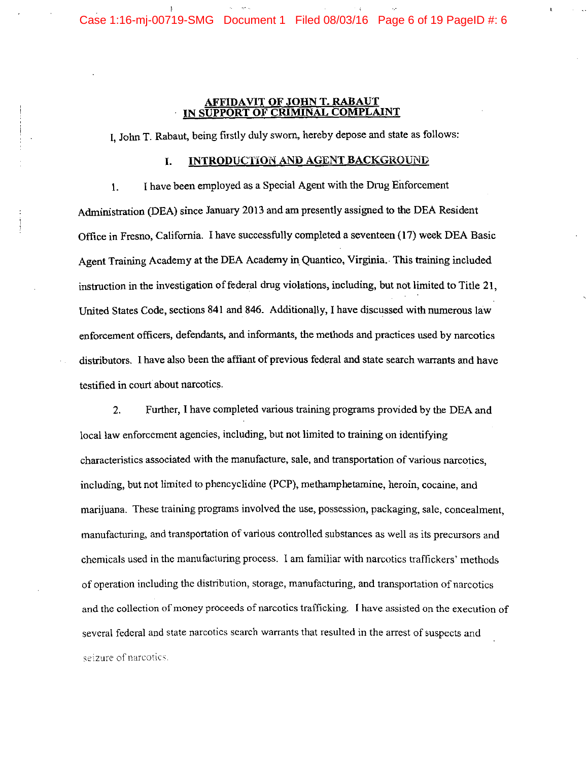# **AFFIDAVIT OF JOHN T. RABAUT<br>IN SUPPORT OF CRIMINAL COMPLA**

I. John T. Rabaut, being firstly duly sworn, hereby depose and state as follows:

#### INTRODUCTION AND AGENT BACKGROUND I.

I have been employed as a Special Agent with the Drug Enforcement  $\mathbf{1}$ . Administration (DEA) since January 2013 and am presently assigned to the DEA Resident Office in Fresno, California. I have successfully completed a seventeen (17) week DEA Basic Agent Training Academy at the DEA Academy in Quantico, Virginia. This training included instruction in the investigation of federal drug violations, including, but not limited to Title 21. United States Code, sections 841 and 846. Additionally, I have discussed with numerous law enforcement officers, defendants, and informants, the methods and practices used by narcotics distributors. I have also been the affiant of previous federal and state search warrants and have testified in court about narcotics.

Further, I have completed various training programs provided by the DEA and 2. local law enforcement agencies, including, but not limited to training on identifying characteristics associated with the manufacture, sale, and transportation of various narcotics, including, but not limited to phencyclidine (PCP), methamphetamine, heroin, cocaine, and marijuana. These training programs involved the use, possession, packaging, sale, concealment, manufacturing, and transportation of various controlled substances as well as its precursors and chemicals used in the manufacturing process. I am familiar with narcotics traffickers' methods of operation including the distribution, storage, manufacturing, and transportation of narcotics and the collection of money proceeds of narcotics trafficking. I have assisted on the execution of several federal and state narcotics search warrants that resulted in the arrest of suspects and seizure of narcotics.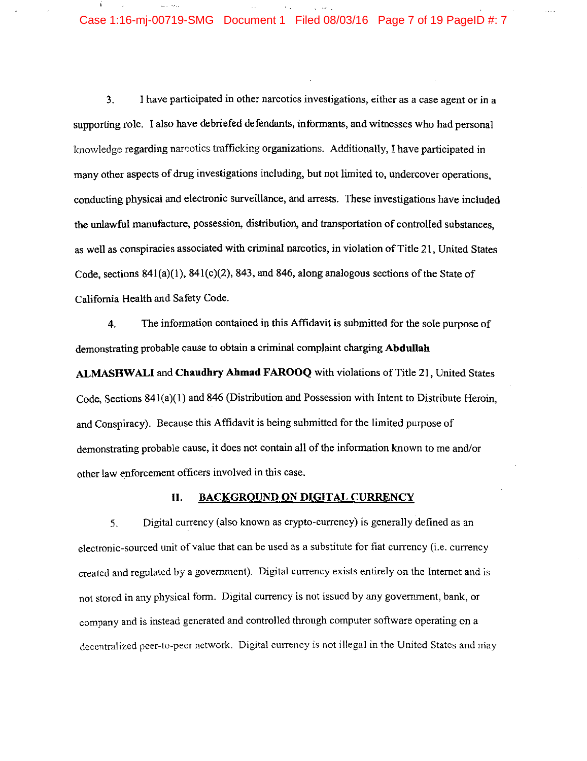# Case 1:16-mj-00719-SMG Document 1 Filed 08/03/16 Page 7 of 19 PageID #: 7

EL 1980

I have participated in other narcotics investigations, either as a case agent or in a 3. supporting role. I also have debriefed defendants, informants, and witnesses who had personal knowledge regarding narcotics trafficking organizations. Additionally, I have participated in many other aspects of drug investigations including, but not limited to, undercover operations, conducting physical and electronic surveillance, and arrests. These investigations have included the unlawful manufacture, possession, distribution, and transportation of controlled substances. as well as conspiracies associated with criminal narcotics, in violation of Title 21, United States Code, sections  $841(a)(1)$ ,  $841(c)(2)$ ,  $843$ , and  $846$ , along analogous sections of the State of California Health and Safety Code.

The information contained in this Affidavit is submitted for the sole purpose of 4. demonstrating probable cause to obtain a criminal complaint charging Abdullah

ALMASHWALI and Chaudhry Ahmad FAROOQ with violations of Title 21, United States Code, Sections 841(a)(1) and 846 (Distribution and Possession with Intent to Distribute Heroin. and Conspiracy). Because this Affidavit is being submitted for the limited purpose of demonstrating probable cause, it does not contain all of the information known to me and/or other law enforcement officers involved in this case.

#### **BACKGROUND ON DIGITAL CURRENCY** II.

Digital currency (also known as crypto-currency) is generally defined as an  $5<sub>1</sub>$ electronic-sourced unit of value that can be used as a substitute for fiat currency (i.e. currency created and regulated by a government). Digital currency exists entirely on the Internet and is not stored in any physical form. Digital currency is not issued by any government, bank, or company and is instead generated and controlled through computer software operating on a decentralized peer-to-peer network. Digital currency is not illegal in the United States and may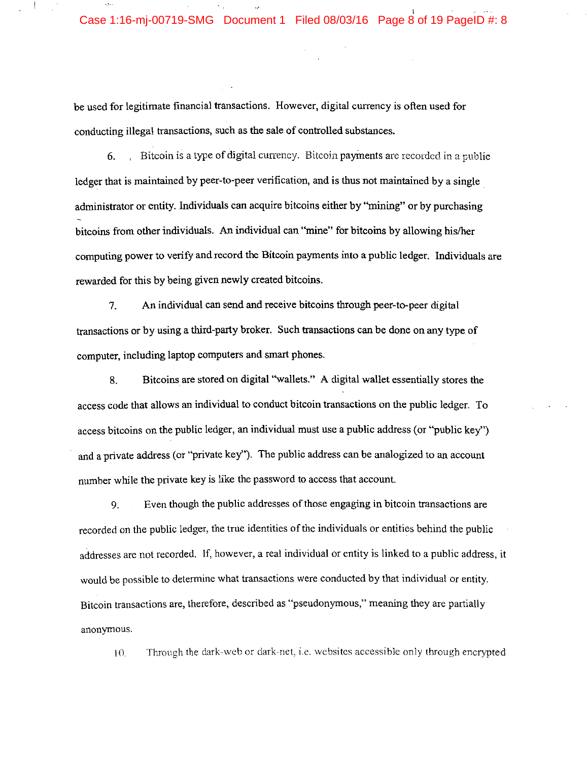be used for legitimate financial transactions. However, digital currency is often used for conducting illegal transactions, such as the sale of controlled substances.

Bitcoin is a type of digital currency. Bitcoin payments are recorded in a public 6. ledger that is maintained by peer-to-peer verification, and is thus not maintained by a single administrator or entity. Individuals can acquire bitcoins either by "mining" or by purchasing bitcoins from other individuals. An individual can "mine" for bitcoins by allowing his/her computing power to verify and record the Bitcoin payments into a public ledger. Individuals are rewarded for this by being given newly created bitcoins.

An individual can send and receive bitcoins through peer-to-peer digital 7. transactions or by using a third-party broker. Such transactions can be done on any type of computer, including laptop computers and smart phones.

Bitcoins are stored on digital "wallets." A digital wallet essentially stores the 8. access code that allows an individual to conduct bitcoin transactions on the public ledger. To access bitcoins on the public ledger, an individual must use a public address (or "public key") and a private address (or "private key"). The public address can be analogized to an account number while the private key is like the password to access that account.

Even though the public addresses of those engaging in bitcoin transactions are 9. recorded on the public ledger, the true identities of the individuals or entities behind the public addresses are not recorded. If, however, a real individual or entity is linked to a public address, it would be possible to determine what transactions were conducted by that individual or entity. Bitcoin transactions are, therefore, described as "pseudonymous," meaning they are partially anonymous.

Through the dark-web or dark-net, i.e. websites accessible only through encrypted  $10.$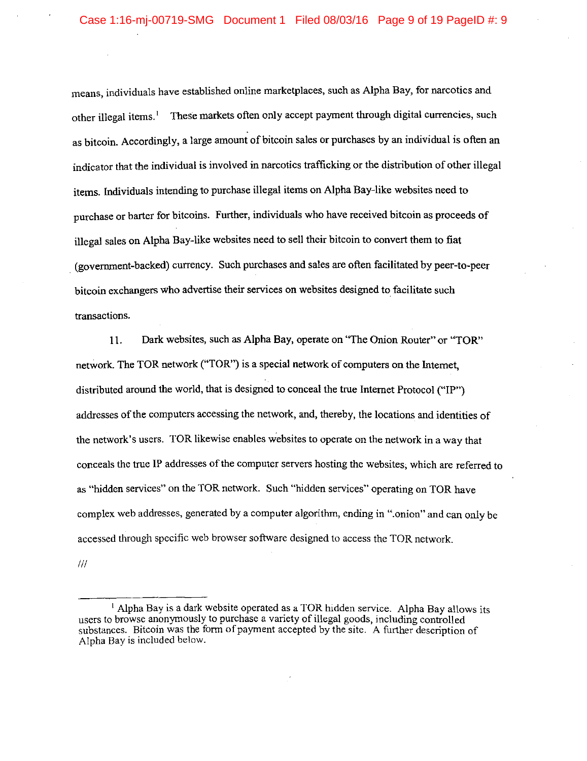means, individuals have established online marketplaces, such as Alpha Bay, for narcotics and other illegal items.<sup>1</sup> These markets often only accept payment through digital currencies, such as bitcoin. Accordingly, a large amount of bitcoin sales or purchases by an individual is often an indicator that the individual is involved in narcotics trafficking or the distribution of other illegal items. Individuals intending to purchase illegal items on Alpha Bay-like websites need to purchase or barter for bitcoins. Further, individuals who have received bitcoin as proceeds of illegal sales on Alpha Bay-like websites need to sell their bitcoin to convert them to fiat (government-backed) currency. Such purchases and sales are often facilitated by peer-to-peer bitcoin exchangers who advertise their services on websites designed to facilitate such transactions.

Dark websites, such as Alpha Bay, operate on "The Onion Router" or "TOR" 11. network. The TOR network ("TOR") is a special network of computers on the Internet. distributed around the world, that is designed to conceal the true Internet Protocol ("IP") addresses of the computers accessing the network, and, thereby, the locations and identities of the network's users. TOR likewise enables websites to operate on the network in a way that conceals the true IP addresses of the computer servers hosting the websites, which are referred to as "hidden services" on the TOR network. Such "hidden services" operating on TOR have complex web addresses, generated by a computer algorithm, ending in "onion" and can only be accessed through specific web browser software designed to access the TOR network.

 $^{\prime\prime\prime}$ 

<sup>&</sup>lt;sup>1</sup> Alpha Bay is a dark website operated as a TOR hidden service. Alpha Bay allows its users to browse anonymously to purchase a variety of illegal goods, including controlled substances. Bitcoin was the form of payment accepted by the site. A further description of Alpha Bay is included below.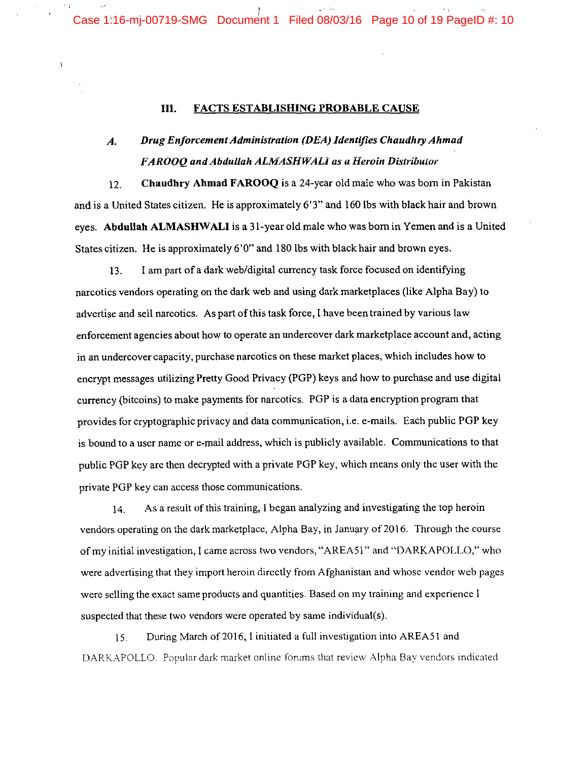Case 1:16-mj-00719-SMG Document 1 Filed 08/03/16 Page 10 of 19 PageID #: 10

#### Ш. **FACTS ESTABLISHING PROBABLE CAUSE**

 $\overline{\mathbf{A}}$ 

#### Drug Enforcement Administration (DEA) Identifies Chaudhry Ahmad  $\boldsymbol{A}$ . FAROOQ and Abdullah ALMASHWALI as a Heroin Distributor

 $12.$ Chaudhry Ahmad FAROOQ is a 24-year old male who was born in Pakistan and is a United States citizen. He is approximately 6'3" and 160 lbs with black hair and brown eyes. Abdullah ALMASHWALI is a 31-year old male who was born in Yemen and is a United States citizen. He is approximately 6'0" and 180 lbs with black hair and brown eyes.

I am part of a dark web/digital currency task force focused on identifying 13. narcotics vendors operating on the dark web and using dark marketplaces (like Alpha Bay) to advertise and sell narcotics. As part of this task force, I have been trained by various law enforcement agencies about how to operate an undercover dark marketplace account and, acting in an undercover capacity, purchase narcotics on these market places, which includes how to encrypt messages utilizing Pretty Good Privacy (PGP) keys and how to purchase and use digital currency (bitcoins) to make payments for narcotics. PGP is a data encryption program that provides for cryptographic privacy and data communication, i.e. e-mails. Each public PGP key is bound to a user name or e-mail address, which is publicly available. Communications to that public PGP key are then decrypted with a private PGP key, which means only the user with the private PGP key can access those communications.

As a result of this training, I began analyzing and investigating the top heroin 14. vendors operating on the dark marketplace, Alpha Bay, in January of 2016. Through the course of my initial investigation, I came across two vendors, "AREA51" and "DARKAPOLLO," who were advertising that they import heroin directly from Afghanistan and whose vendor web pages were selling the exact same products and quantities. Based on my training and experience I suspected that these two vendors were operated by same individual(s).

During March of 2016, I initiated a full investigation into AREA51 and  $15.$ DARKAPOLLO. Popular dark market online forums that review Alpha Bay vendors indicated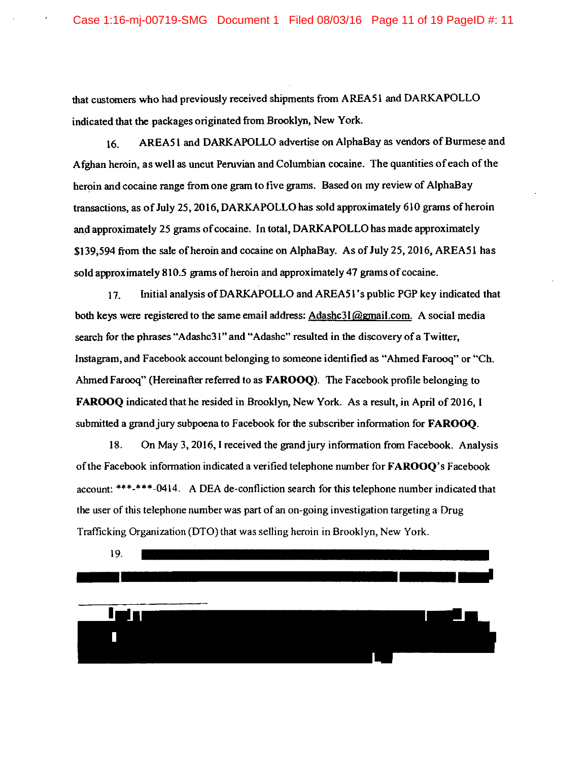that customers who had previously received shipments from AREA51 and DARKAPOLLO indicated that the packages originated from Brooklyn, New York.

AREA51 and DARKAPOLLO advertise on AlphaBay as vendors of Burmese and 16. Afghan heroin, as well as uncut Peruvian and Columbian cocaine. The quantities of each of the heroin and cocaine range from one gram to five grams. Based on my review of AlphaBay transactions, as of July 25, 2016, DARKAPOLLO has sold approximately 610 grams of heroin and approximately 25 grams of cocaine. In total, DARKAPOLLO has made approximately \$139,594 from the sale of heroin and cocaine on AlphaBay. As of July 25, 2016, AREA51 has sold approximately 810.5 grams of heroin and approximately 47 grams of cocaine.

Initial analysis of DARKAPOLLO and AREA51's public PGP key indicated that 17. both keys were registered to the same email address: Adashc3l@gmail.com. A social media search for the phrases "Adashc31" and "Adashc" resulted in the discovery of a Twitter, Instagram, and Facebook account belonging to someone identified as "Ahmed Farooq" or "Ch. Ahmed Farooq" (Hereinafter referred to as FAROOQ). The Facebook profile belonging to FAROOQ indicated that he resided in Brooklyn, New York. As a result, in April of 2016, I submitted a grand jury subpoena to Facebook for the subscriber information for FAROOQ.

18. On May 3, 2016, I received the grand jury information from Facebook. Analysis of the Facebook information indicated a verified telephone number for **FAROOQ**'s Facebook account: \*\*\*-\*\*\*-0414. A DEA de-confliction search for this telephone number indicated that the user of this telephone number was part of an on-going investigation targeting a Drug Trafficking Organization (DTO) that was selling heroin in Brooklyn, New York.

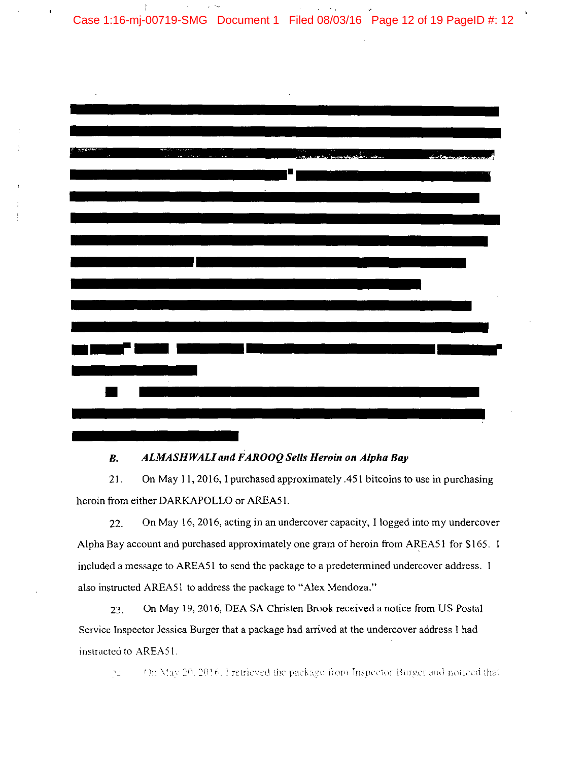Case 1:16-mj-00719-SMG Document 1 Filed 08/03/16 Page 12 of 19 PageID #: 12

 $\mathbf{I}$ 



#### ALMASHWALI and FAROOQ Sells Heroin on Alpha Bay  $B.$

 $21.$ On May 11, 2016, I purchased approximately .451 bitcoins to use in purchasing heroin from either DARKAPOLLO or AREA51.

On May 16, 2016, acting in an undercover capacity, I logged into my undercover 22. Alpha Bay account and purchased approximately one gram of heroin from AREA51 for \$165. I included a message to AREA51 to send the package to a predetermined undercover address. I also instructed AREA51 to address the package to "Alex Mendoza."

On May 19, 2016, DEA SA Christen Brook received a notice from US Postal 23. Service Inspector Jessica Burger that a package had arrived at the undercover address I had instructed to AREA51.

On May 20, 2016. I retrieved the package from Inspector Burger and noticed that  $\gamma_{\perp}$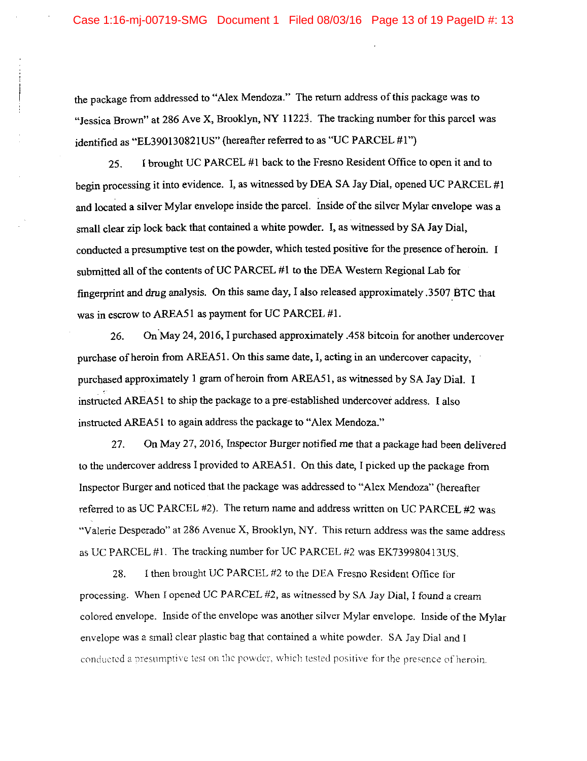the package from addressed to "Alex Mendoza." The return address of this package was to "Jessica Brown" at 286 Ave X, Brooklyn, NY 11223. The tracking number for this parcel was identified as "EL390130821US" (hereafter referred to as "UC PARCEL #1")

I brought UC PARCEL #1 back to the Fresno Resident Office to open it and to 25. begin processing it into evidence. I, as witnessed by DEA SA Jay Dial, opened UC PARCEL #1 and located a silver Mylar envelope inside the parcel. Inside of the silver Mylar envelope was a small clear zip lock back that contained a white powder. I, as witnessed by SA Jay Dial, conducted a presumptive test on the powder, which tested positive for the presence of heroin. I submitted all of the contents of UC PARCEL #1 to the DEA Western Regional Lab for fingerprint and drug analysis. On this same day, I also released approximately 3507 BTC that was in escrow to AREA51 as payment for UC PARCEL #1.

On May 24, 2016, I purchased approximately .458 bitcoin for another undercover 26. purchase of heroin from AREA51. On this same date, I, acting in an undercover capacity, purchased approximately 1 gram of heroin from AREA51, as witnessed by SA Jay Dial. I instructed AREA51 to ship the package to a pre-established undercover address. I also instructed AREA51 to again address the package to "Alex Mendoza."

27. On May 27, 2016, Inspector Burger notified me that a package had been delivered to the undercover address I provided to AREA51. On this date, I picked up the package from Inspector Burger and noticed that the package was addressed to "Alex Mendoza" (hereafter referred to as UC PARCEL #2). The return name and address written on UC PARCEL #2 was "Valerie Desperado" at 286 Avenue X, Brooklyn, NY. This return address was the same address as UC PARCEL #1. The tracking number for UC PARCEL #2 was EK739980413US.

I then brought UC PARCEL #2 to the DEA Fresno Resident Office for 28. processing. When I opened UC PARCEL #2, as witnessed by SA Jay Dial, I found a cream colored envelope. Inside of the envelope was another silver Mylar envelope. Inside of the Mylar envelope was a small clear plastic bag that contained a white powder. SA Jay Dial and I conducted a presumptive test on the powder, which tested positive for the presence of heroin.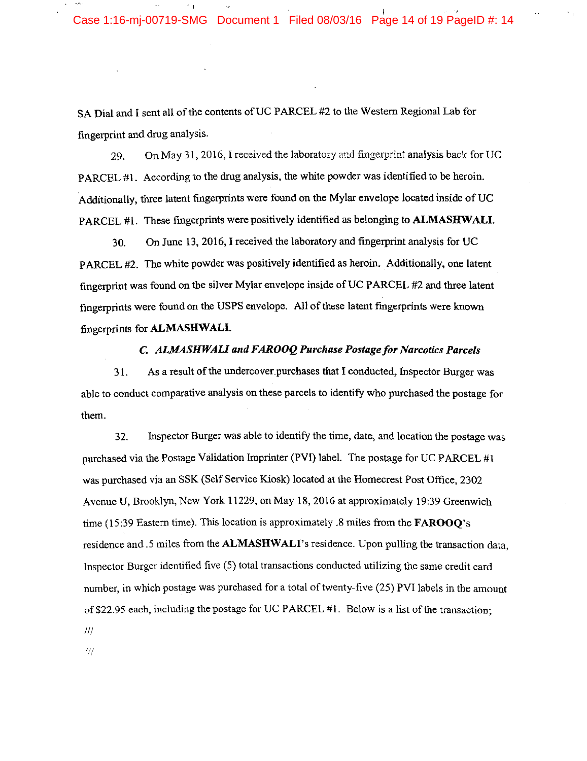11

SA Dial and I sent all of the contents of UC PARCEL #2 to the Western Regional Lab for fingerprint and drug analysis.

On May 31, 2016, I received the laboratory and fingerprint analysis back for UC 29. PARCEL #1. According to the drug analysis, the white powder was identified to be heroin. Additionally, three latent fingerprints were found on the Mylar envelope located inside of UC PARCEL #1. These fingerprints were positively identified as belonging to ALMASHWALI.

On June 13, 2016, I received the laboratory and fingerprint analysis for UC 30. PARCEL #2. The white powder was positively identified as heroin. Additionally, one latent fingerprint was found on the silver Mylar envelope inside of UC PARCEL #2 and three latent fingerprints were found on the USPS envelope. All of these latent fingerprints were known fingerprints for ALMASHWALI.

### C. ALMASHWALI and FAROOQ Purchase Postage for Narcotics Parcels

As a result of the undercover purchases that I conducted, Inspector Burger was  $31.$ able to conduct comparative analysis on these parcels to identify who purchased the postage for them.

Inspector Burger was able to identify the time, date, and location the postage was 32. purchased via the Postage Validation Imprinter (PVI) label. The postage for UC PARCEL #1 was purchased via an SSK (Self Service Kiosk) located at the Homecrest Post Office. 2302 Avenue U, Brooklyn, New York 11229, on May 18, 2016 at approximately 19:39 Greenwich time (15:39 Eastern time). This location is approximately .8 miles from the  $FAROOO's$ residence and .5 miles from the ALMASHWALI's residence. Upon pulling the transaction data, Inspector Burger identified five (5) total transactions conducted utilizing the same credit card number, in which postage was purchased for a total of twenty-five (25) PVI labels in the amount of \$22.95 each, including the postage for UC PARCEL #1. Below is a list of the transaction:  $III$ 

:77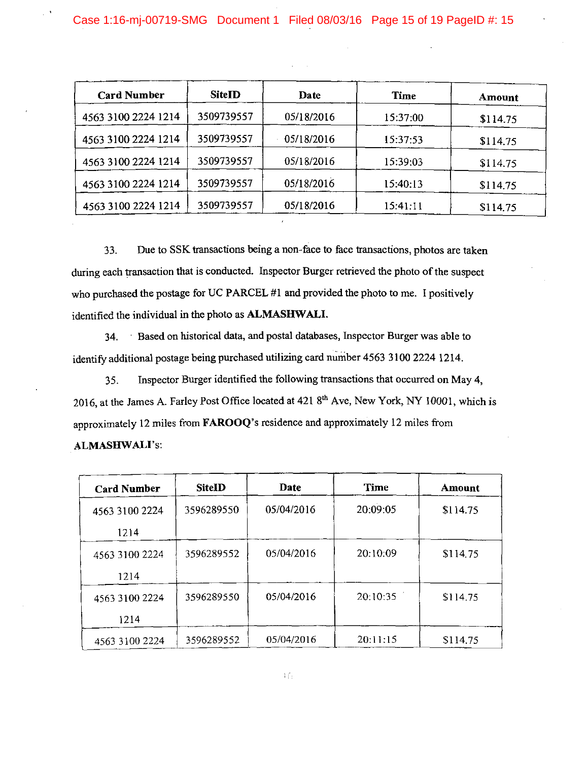| <b>Card Number</b>  | SiteID     | Date       | Time     | Amount   |
|---------------------|------------|------------|----------|----------|
| 4563 3100 2224 1214 | 3509739557 | 05/18/2016 | 15:37:00 | \$114.75 |
| 4563 3100 2224 1214 | 3509739557 | 05/18/2016 | 15:37:53 | \$114.75 |
| 4563 3100 2224 1214 | 3509739557 | 05/18/2016 | 15:39:03 | \$114.75 |
| 4563 3100 2224 1214 | 3509739557 | 05/18/2016 | 15:40:13 | \$114.75 |
| 4563 3100 2224 1214 | 3509739557 | 05/18/2016 | 15:41:11 | \$114.75 |

33. Due to SSK transactions being a non-face to face transactions, photos are taken during each transaction that is conducted. Inspector Burger retrieved the photo of the suspect who purchased the postage for UC PARCEL #1 and provided the photo to me. I positively identified the individual in the photo as ALMASHWALI.

34. Based on historical data, and postal databases, Inspector Burger was able to identify additional postage being purchased utilizing card number 4563 3100 2224 1214.

Inspector Burger identified the following transactions that occurred on May 4,  $35.$ 2016, at the James A. Farley Post Office located at 421 8th Ave, New York, NY 10001, which is approximately 12 miles from FAROOQ's residence and approximately 12 miles from **ALMASHWALI's:** 

| <b>Card Number</b> | <b>SiteID</b> | Date       | <b>Time</b> | Amount   |
|--------------------|---------------|------------|-------------|----------|
| 4563 3100 2224     | 3596289550    | 05/04/2016 | 20:09:05    | \$114.75 |
| 1214               |               |            |             |          |
| 4563 3100 2224     | 3596289552    | 05/04/2016 | 20:10:09    | \$114.75 |
| 1214               |               |            |             |          |
| 4563 3100 2224     | 3596289550    | 05/04/2016 | 20:10:35    | \$114.75 |
| 1214               |               |            |             |          |
| 4563 3100 2224     | 3596289552    | 05/04/2016 | 20:11:15    | \$114.75 |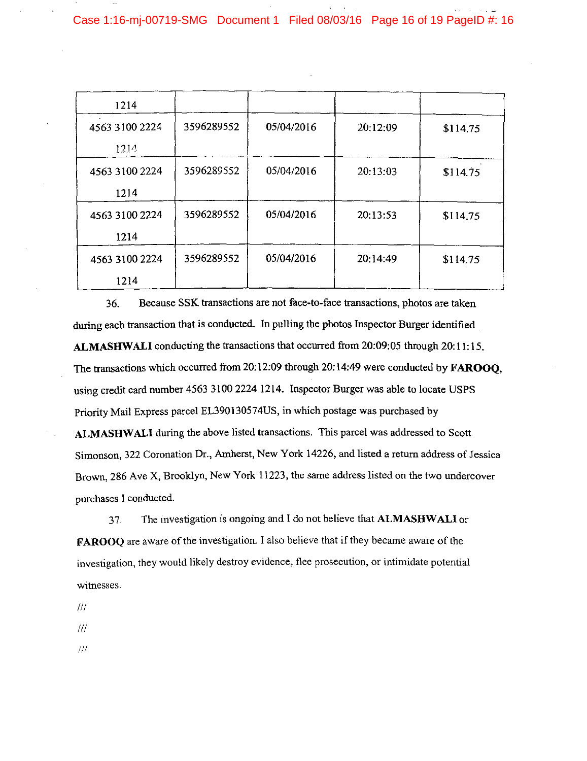| 1214           |            |            |          |          |
|----------------|------------|------------|----------|----------|
| 4563 3100 2224 | 3596289552 | 05/04/2016 | 20:12:09 | \$114.75 |
| 1214           |            |            |          |          |
| 4563 3100 2224 | 3596289552 | 05/04/2016 | 20:13:03 | \$114.75 |
| 1214           |            |            |          |          |
| 4563 3100 2224 | 3596289552 | 05/04/2016 | 20:13:53 | \$114.75 |
| 1214           |            |            |          |          |
| 4563 3100 2224 | 3596289552 | 05/04/2016 | 20:14:49 | \$114.75 |
| 1214           |            |            |          |          |

36. Because SSK transactions are not face-to-face transactions, photos are taken during each transaction that is conducted. In pulling the photos Inspector Burger identified ALMASHWALI conducting the transactions that occurred from 20:09:05 through 20:11:15. The transactions which occurred from 20:12:09 through 20:14:49 were conducted by FAROOO, using credit card number 4563 3100 2224 1214. Inspector Burger was able to locate USPS Priority Mail Express parcel EL390130574US, in which postage was purchased by ALMASHWALI during the above listed transactions. This parcel was addressed to Scott Simonson, 322 Coronation Dr., Amherst, New York 14226, and listed a return address of Jessica Brown, 286 Ave X, Brooklyn, New York 11223, the same address listed on the two undercover purchases I conducted.

The investigation is ongoing and I do not believe that ALMASHWALI or 37. FAROOO are aware of the investigation. I also believe that if they became aware of the investigation, they would likely destroy evidence, flee prosecution, or intimidate potential witnesses.

 $^{\prime\prime\prime}$ 

 $\frac{1}{1}$ 

 $/$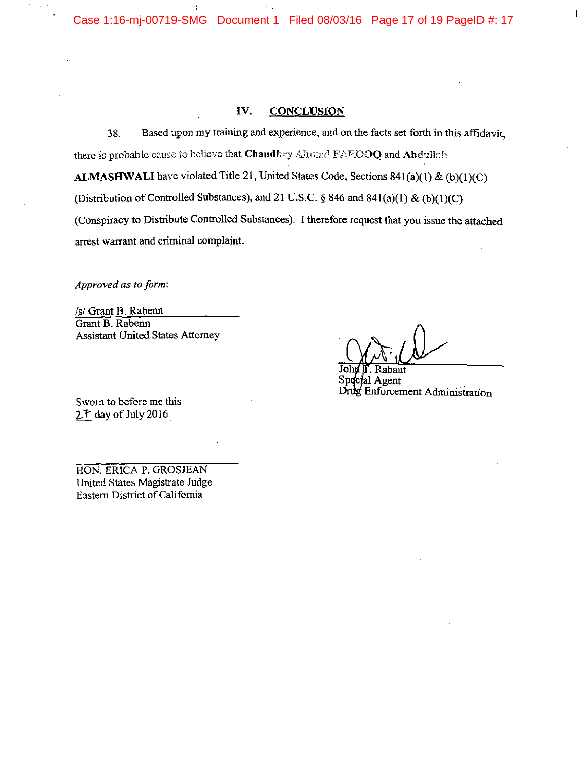$\varphi\in\mathbb{S}^{2n}$  $\mathbf{I}$ Case 1:16-mj-00719-SMG Document 1 Filed 08/03/16 Page 17 of 19 PageID #: 17

#### IV. **CONCLUSION**

Based upon my training and experience, and on the facts set forth in this affidavit. 38. there is probable cause to believe that Chaudhry Ahmad FAROOQ and Abdullah ALMASHWALI have violated Title 21, United States Code, Sections  $841(a)(1) & (b)(1)(C)$ (Distribution of Controlled Substances), and 21 U.S.C. § 846 and 841(a)(1) & (b)(1)(C) (Conspiracy to Distribute Controlled Substances). I therefore request that you issue the attached arrest warrant and criminal complaint.

Approved as to form:

/s/ Grant B. Rabenn Grant B. Rabenn **Assistant United States Attorney** 

Sworn to before me this  $2^t$  day of July 2016

HON. ERICA P. GROSJEAN United States Magistrate Judge Eastern District of California

 $\mathbf{F}$ 

abaut Special Agent Drug Enforcement Administration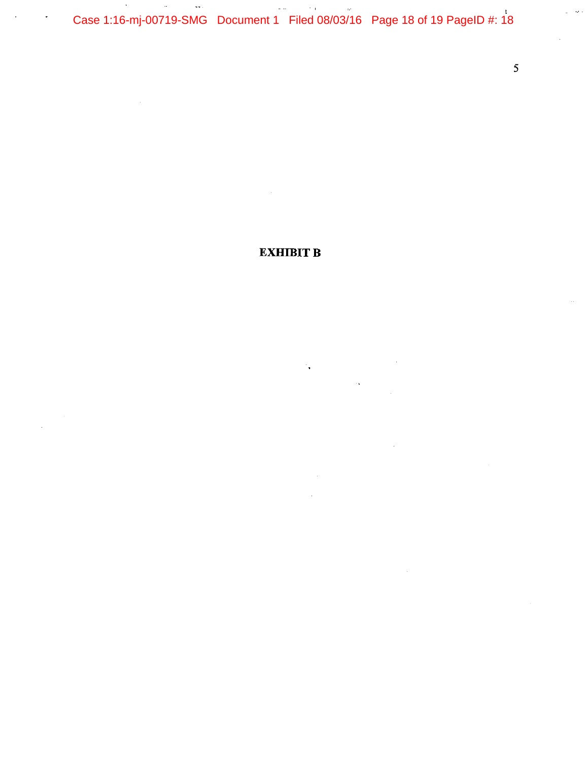Case 1:16-mj-00719-SMG Document 1 Filed 08/03/16 Page 18 of 19 PageID #: 18

 $\hat{\boldsymbol{\beta}}$ 

 $\overline{\phantom{a}}$ 

# **EXHIBIT B**

 $\mathcal{F}_{\bullet}$  .

 $\overline{5}$